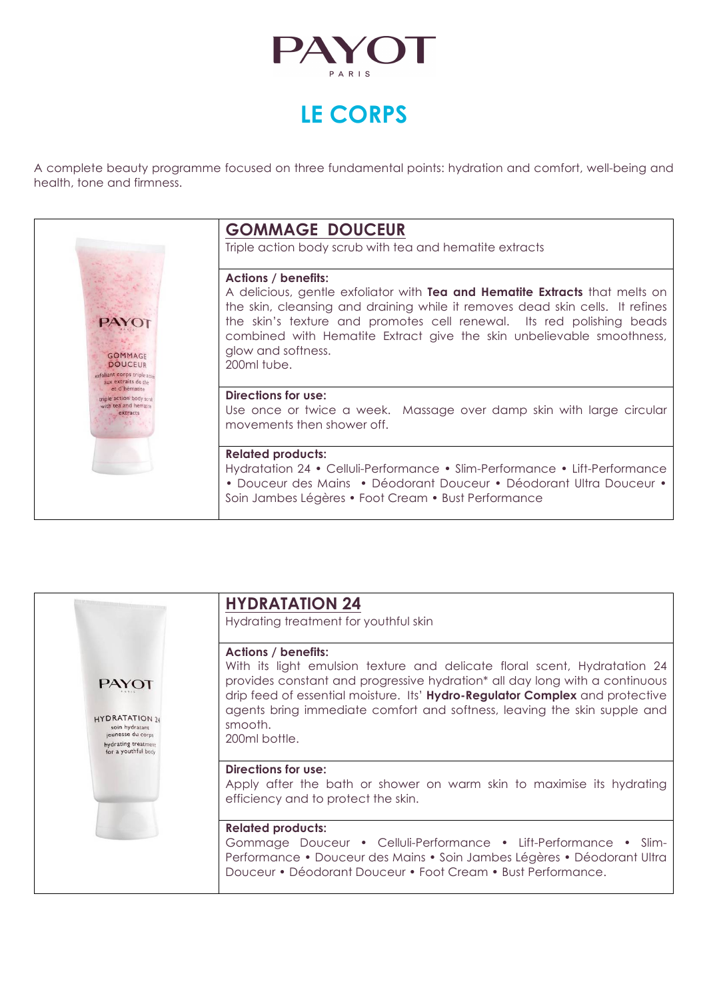

# **LE CORPS**

A complete beauty programme focused on three fundamental points: hydration and comfort, well-being and health, tone and firmness.



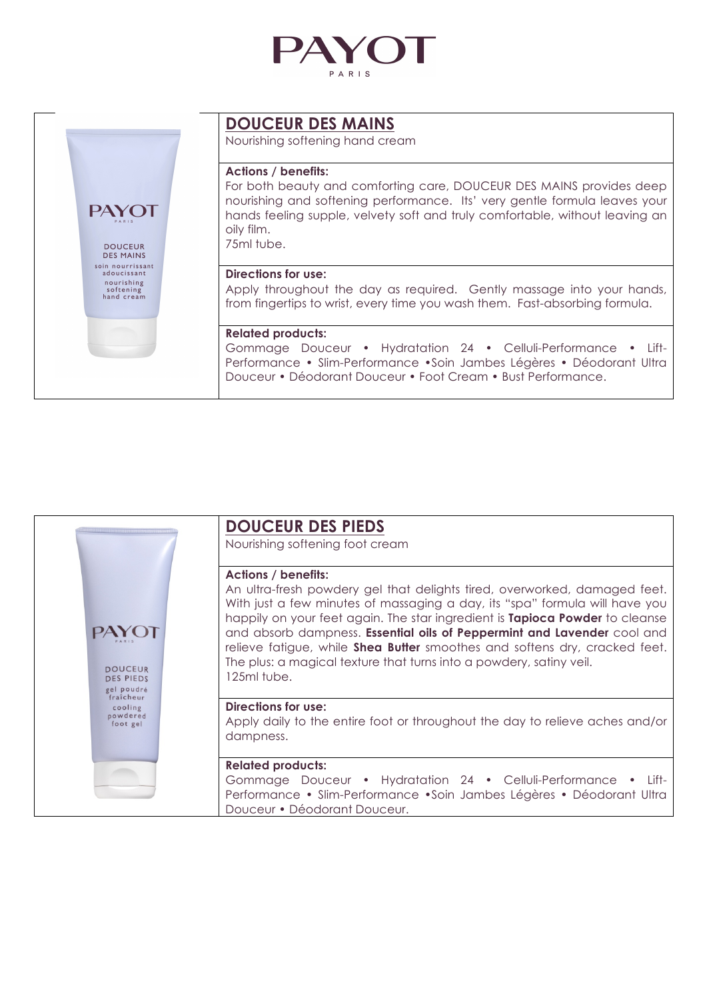



# **DOUCEUR DES MAINS**

Nourishing softening hand cream

## **Actions / benefits:**

For both beauty and comforting care, DOUCEUR DES MAINS provides deep nourishing and softening performance. Its' very gentle formula leaves your hands feeling supple, velvety soft and truly comfortable, without leaving an oily film. 75ml tube.

#### **Directions for use:**

Apply throughout the day as required. Gently massage into your hands, from fingertips to wrist, every time you wash them. Fast-absorbing formula.

#### **Related products:**

Gommage Douceur • Hydratation 24 • Celluli-Performance • Lift-Performance • Slim-Performance •Soin Jambes Légères • Déodorant Ultra Douceur • Déodorant Douceur • Foot Cream • Bust Performance.



# **DOUCEUR DES PIEDS**

Nourishing softening foot cream

#### **Actions / benefits:**

An ultra-fresh powdery gel that delights tired, overworked, damaged feet. With just a few minutes of massaging a day, its "spa" formula will have you happily on your feet again. The star ingredient is **Tapioca Powder** to cleanse and absorb dampness. **Essential oils of Peppermint and Lavender** cool and relieve fatigue, while **Shea Butter** smoothes and softens dry, cracked feet. The plus: a magical texture that turns into a powdery, satiny veil. 125ml tube.

# **Directions for use:**

Apply daily to the entire foot or throughout the day to relieve aches and/or dampness.

#### **Related products:**

Gommage Douceur • Hydratation 24 • Celluli-Performance • Lift-Performance • Slim-Performance •Soin Jambes Légères • Déodorant Ultra Douceur • Déodorant Douceur.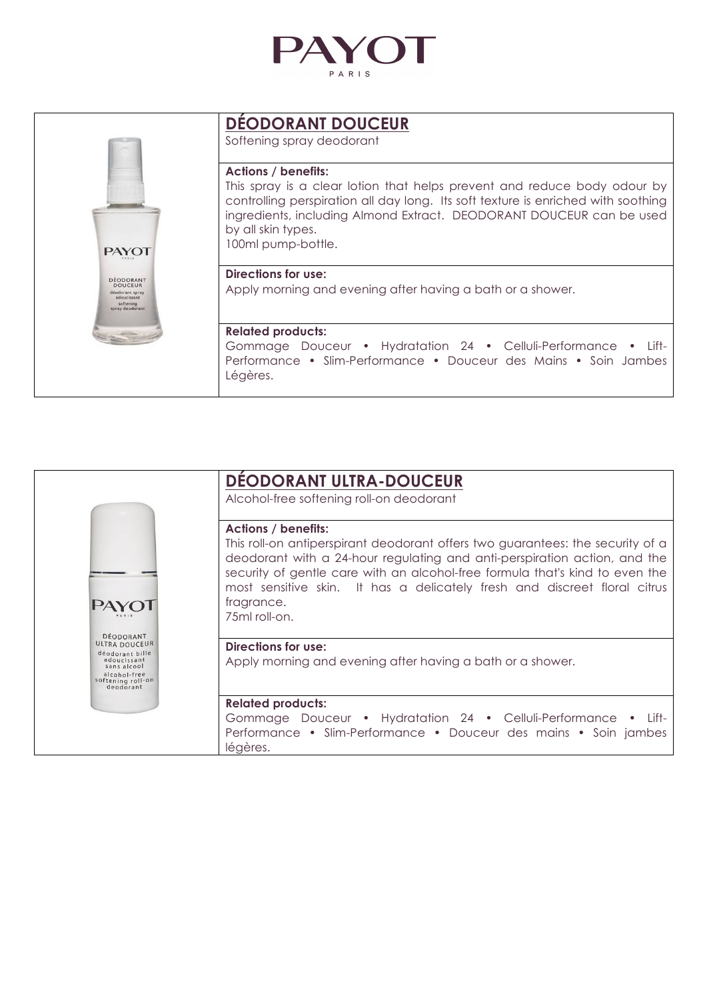

|                                                                                               | <b>DEODORANT DOUCEUR</b><br>Softening spray deodorant                                                                                                                                                                                                                                                           |
|-----------------------------------------------------------------------------------------------|-----------------------------------------------------------------------------------------------------------------------------------------------------------------------------------------------------------------------------------------------------------------------------------------------------------------|
| <b>PAYOT</b>                                                                                  | <b>Actions / benefits:</b><br>This spray is a clear lotion that helps prevent and reduce body odour by<br>controlling perspiration all day long. Its soft texture is enriched with soothing<br>ingredients, including Almond Extract. DEODORANT DOUCEUR can be used<br>by all skin types.<br>100ml pump-bottle. |
| DÉODORANT<br><b>DOUCEUR</b><br>déodorant spray<br>adoucissant<br>softening<br>spray deodorant | Directions for use:<br>Apply morning and evening after having a bath or a shower.                                                                                                                                                                                                                               |
|                                                                                               | <b>Related products:</b><br>Gommage Douceur • Hydratation 24 • Celluli-Performance • Lift-<br>Performance • Slim-Performance • Douceur des Mains • Soin Jambes<br>Légères.                                                                                                                                      |

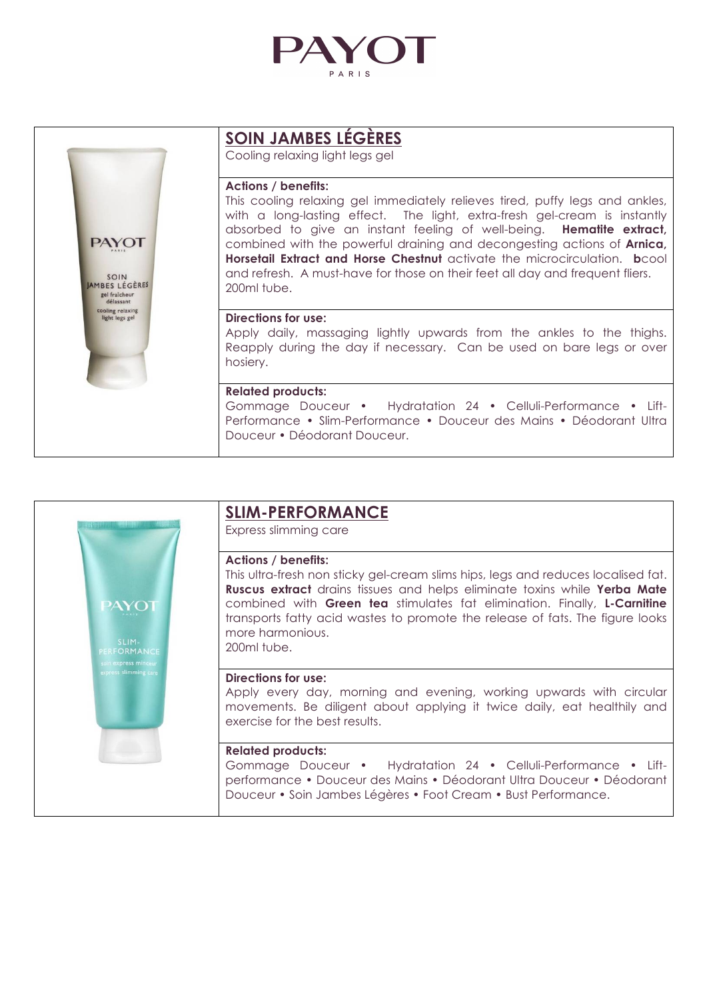

|                                                                                                           | <b>SOIN JAMBES LEGERES</b><br>Cooling relaxing light legs gel                                                                                                                                                                                                                                                                                                                                                                                                                                                                           |
|-----------------------------------------------------------------------------------------------------------|-----------------------------------------------------------------------------------------------------------------------------------------------------------------------------------------------------------------------------------------------------------------------------------------------------------------------------------------------------------------------------------------------------------------------------------------------------------------------------------------------------------------------------------------|
| <b>PAYOT</b><br>SOIN<br>AMBES LÉGÈRES<br>gel fraîcheur<br>délassant<br>cooling relaxing<br>light legs gel | <b>Actions / benefits:</b><br>This cooling relaxing gel immediately relieves tired, puffy legs and ankles,<br>with a long-lasting effect. The light, extra-fresh gel-cream is instantly<br>absorbed to give an instant feeling of well-being. <b>Hematite extract</b> ,<br>combined with the powerful draining and decongesting actions of <b>Arnica</b> ,<br>Horsetail Extract and Horse Chestnut activate the microcirculation. bcool<br>and refresh. A must-have for those on their feet all day and frequent fliers.<br>200ml tube. |
|                                                                                                           | Directions for use:<br>Apply daily, massaging lightly upwards from the ankles to the thighs.<br>Reapply during the day if necessary. Can be used on bare legs or over<br>hosiery.                                                                                                                                                                                                                                                                                                                                                       |
|                                                                                                           | <b>Related products:</b><br>Gommage Douceur • Hydratation 24 • Celluli-Performance • Lift-<br>Performance • Slim-Performance • Douceur des Mains • Déodorant Ultra<br>Douceur • Déodorant Douceur.                                                                                                                                                                                                                                                                                                                                      |

| SLIM-<br>PERFORMANCE<br>soin express minceur<br>express slimming care | <b>SLIM-PERFORMANCE</b><br>Express slimming care                                                                                                                                                                                                                                                                                                                                                    |
|-----------------------------------------------------------------------|-----------------------------------------------------------------------------------------------------------------------------------------------------------------------------------------------------------------------------------------------------------------------------------------------------------------------------------------------------------------------------------------------------|
|                                                                       | <b>Actions / benefits:</b><br>This ultra-fresh non sticky gel-cream slims hips, legs and reduces localised fat.<br><b>Ruscus extract</b> drains tissues and helps eliminate toxins while Yerba Mate<br>combined with Green tea stimulates fat elimination. Finally, L-Carnitine<br>transports fatty acid wastes to promote the release of fats. The figure looks<br>more harmonious.<br>200ml tube. |
|                                                                       | Directions for use:<br>Apply every day, morning and evening, working upwards with circular<br>movements. Be diligent about applying it twice daily, eat healthily and<br>exercise for the best results.                                                                                                                                                                                             |
|                                                                       | <b>Related products:</b><br>Gommage Douceur • Hydratation 24 • Celluli-Performance • Lift-<br>performance • Douceur des Mains • Déodorant Ultra Douceur • Déodorant<br>Douceur • Soin Jambes Légères • Foot Cream • Bust Performance.                                                                                                                                                               |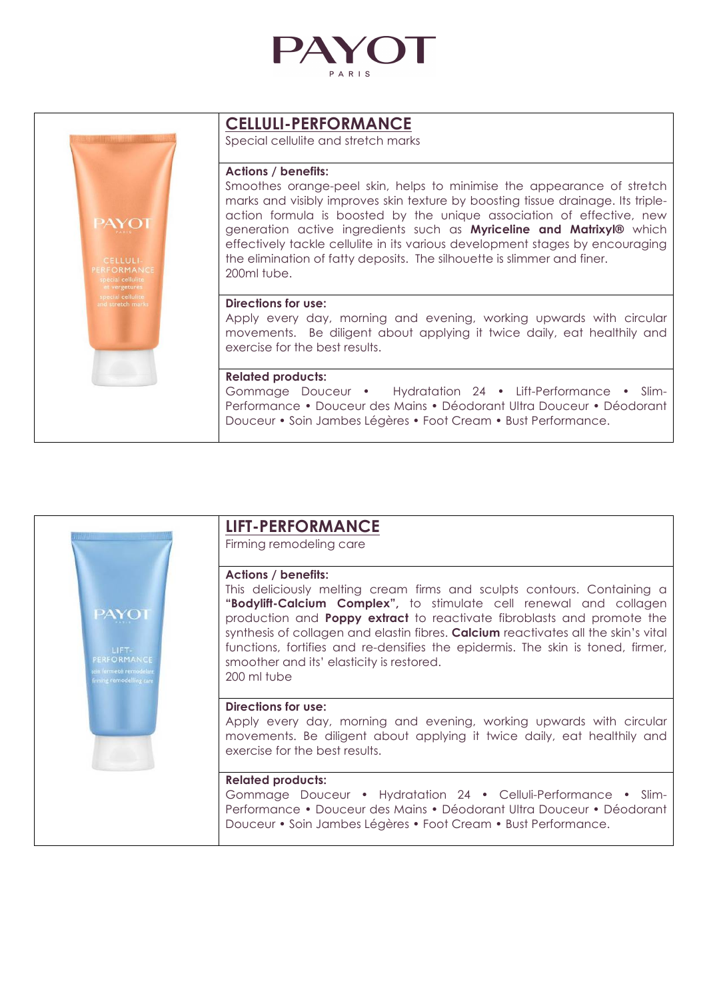